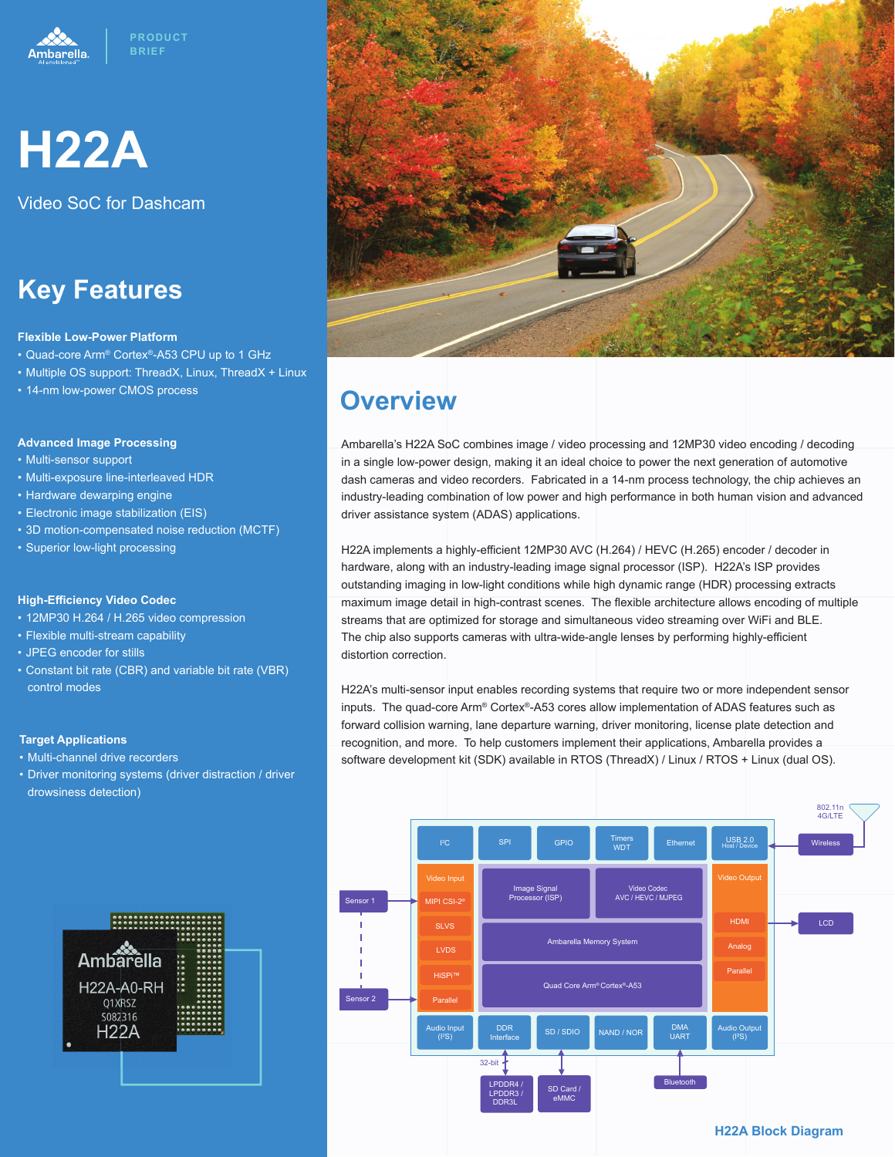



Video SoC for Dashcam

## **Key Features**

#### **Flexible Low-Power Platform**

- Quad-core Arm® Cortex®-A53 CPU up to 1 GHz
- Multiple OS support: ThreadX, Linux, ThreadX + Linux
- 14-nm low-power CMOS process

#### **Advanced Image Processing**

- Multi-sensor support
- Multi-exposure line-interleaved HDR
- Hardware dewarping engine
- Electronic image stabilization (EIS)
- 3D motion-compensated noise reduction (MCTF)
- Superior low-light processing

#### **High-Effi ciency Video Codec**

- 12MP30 H.264 / H.265 video compression
- Flexible multi-stream capability
- JPEG encoder for stills
- Constant bit rate (CBR) and variable bit rate (VBR) control modes

#### **Target Applications**

- Multi-channel drive recorders
- Driver monitoring systems (driver distraction / driver drowsiness detection)





### **Overview**

Ambarella's H22A SoC combines image / video processing and 12MP30 video encoding / decoding in a single low-power design, making it an ideal choice to power the next generation of automotive dash cameras and video recorders. Fabricated in a 14-nm process technology, the chip achieves an industry-leading combination of low power and high performance in both human vision and advanced driver assistance system (ADAS) applications.

H22A implements a highly-efficient 12MP30 AVC (H.264) / HEVC (H.265) encoder / decoder in hardware, along with an industry-leading image signal processor (ISP). H22A's ISP provides outstanding imaging in low-light conditions while high dynamic range (HDR) processing extracts maximum image detail in high-contrast scenes. The flexible architecture allows encoding of multiple streams that are optimized for storage and simultaneous video streaming over WiFi and BLE. The chip also supports cameras with ultra-wide-angle lenses by performing highly-efficient distortion correction.

H22A's multi-sensor input enables recording systems that require two or more independent sensor inputs. The quad-core Arm® Cortex®-A53 cores allow implementation of ADAS features such as forward collision warning, lane departure warning, driver monitoring, license plate detection and recognition, and more. To help customers implement their applications, Ambarella provides a software development kit (SDK) available in RTOS (ThreadX) / Linux / RTOS + Linux (dual OS).